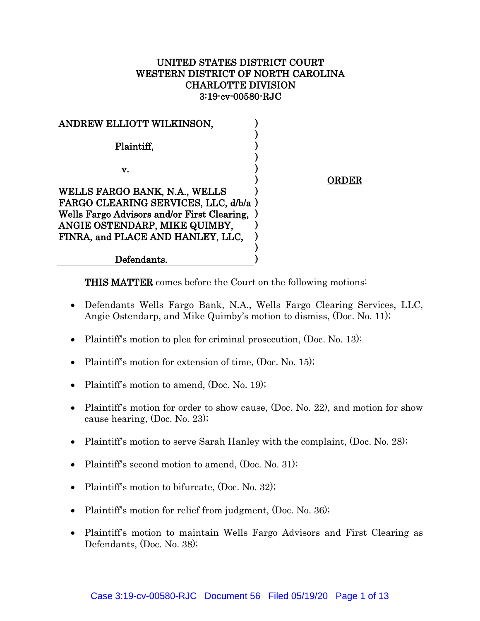# UNITED STATES DISTRICT COURT WESTERN DISTRICT OF NORTH CAROLINA CHARLOTTE DIVISION 3:19-cv-00580-RJC

| ANDREW ELLIOTT WILKINSON,                                                           |           |
|-------------------------------------------------------------------------------------|-----------|
| Plaintiff,                                                                          |           |
| v.                                                                                  |           |
| WELLS FARGO BANK, N.A., WELLS                                                       | <b>RD</b> |
| FARGO CLEARING SERVICES, LLC, d/b/a)<br>Wells Fargo Advisors and/or First Clearing, |           |
| ANGIE OSTENDARP, MIKE QUIMBY,                                                       |           |
| FINRA, and PLACE AND HANLEY, LLC,                                                   |           |
| Defendants.                                                                         |           |

THIS MATTER comes before the Court on the following motions:

- Defendants Wells Fargo Bank, N.A., Wells Fargo Clearing Services, LLC, Angie Ostendarp, and Mike Quimby's motion to dismiss, (Doc. No. 11);
- Plaintiff's motion to plea for criminal prosecution, (Doc. No. 13);
- Plaintiff's motion for extension of time, (Doc. No. 15);
- Plaintiff's motion to amend, (Doc. No. 19);
- Plaintiff's motion for order to show cause, (Doc. No. 22), and motion for show cause hearing, (Doc. No. 23);
- Plaintiff's motion to serve Sarah Hanley with the complaint, (Doc. No. 28);
- Plaintiff's second motion to amend, (Doc. No. 31);
- Plaintiff's motion to bifurcate, (Doc. No. 32);
- Plaintiff's motion for relief from judgment, (Doc. No. 36);
- Plaintiff's motion to maintain Wells Fargo Advisors and First Clearing as Defendants, (Doc. No. 38);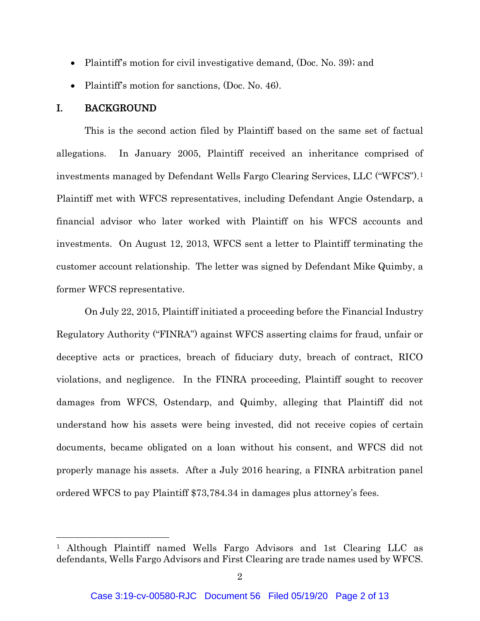- Plaintiff's motion for civil investigative demand, (Doc. No. 39); and
- Plaintiff's motion for sanctions, (Doc. No. 46).

## I. BACKGROUND

 $\overline{a}$ 

This is the second action filed by Plaintiff based on the same set of factual allegations. In January 2005, Plaintiff received an inheritance comprised of investments managed by Defendant Wells Fargo Clearing Services, LLC ("WFCS").<sup>1</sup> Plaintiff met with WFCS representatives, including Defendant Angie Ostendarp, a financial advisor who later worked with Plaintiff on his WFCS accounts and investments. On August 12, 2013, WFCS sent a letter to Plaintiff terminating the customer account relationship. The letter was signed by Defendant Mike Quimby, a former WFCS representative.

On July 22, 2015, Plaintiff initiated a proceeding before the Financial Industry Regulatory Authority ("FINRA") against WFCS asserting claims for fraud, unfair or deceptive acts or practices, breach of fiduciary duty, breach of contract, RICO violations, and negligence. In the FINRA proceeding, Plaintiff sought to recover damages from WFCS, Ostendarp, and Quimby, alleging that Plaintiff did not understand how his assets were being invested, did not receive copies of certain documents, became obligated on a loan without his consent, and WFCS did not properly manage his assets. After a July 2016 hearing, a FINRA arbitration panel ordered WFCS to pay Plaintiff \$73,784.34 in damages plus attorney's fees.

<sup>1</sup> Although Plaintiff named Wells Fargo Advisors and 1st Clearing LLC as defendants, Wells Fargo Advisors and First Clearing are trade names used by WFCS.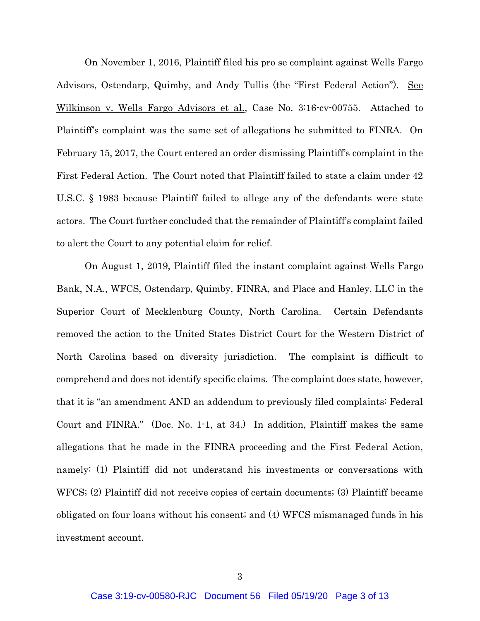On November 1, 2016, Plaintiff filed his pro se complaint against Wells Fargo Advisors, Ostendarp, Quimby, and Andy Tullis (the "First Federal Action"). See Wilkinson v. Wells Fargo Advisors et al., Case No. 3:16-cv-00755. Attached to Plaintiff's complaint was the same set of allegations he submitted to FINRA. On February 15, 2017, the Court entered an order dismissing Plaintiff's complaint in the First Federal Action. The Court noted that Plaintiff failed to state a claim under 42 U.S.C. § 1983 because Plaintiff failed to allege any of the defendants were state actors. The Court further concluded that the remainder of Plaintiff's complaint failed to alert the Court to any potential claim for relief.

On August 1, 2019, Plaintiff filed the instant complaint against Wells Fargo Bank, N.A., WFCS, Ostendarp, Quimby, FINRA, and Place and Hanley, LLC in the Superior Court of Mecklenburg County, North Carolina. Certain Defendants removed the action to the United States District Court for the Western District of North Carolina based on diversity jurisdiction. The complaint is difficult to comprehend and does not identify specific claims. The complaint does state, however, that it is "an amendment AND an addendum to previously filed complaints: Federal Court and FINRA." (Doc. No. 1-1, at 34.) In addition, Plaintiff makes the same allegations that he made in the FINRA proceeding and the First Federal Action, namely: (1) Plaintiff did not understand his investments or conversations with WFCS; (2) Plaintiff did not receive copies of certain documents; (3) Plaintiff became obligated on four loans without his consent; and (4) WFCS mismanaged funds in his investment account.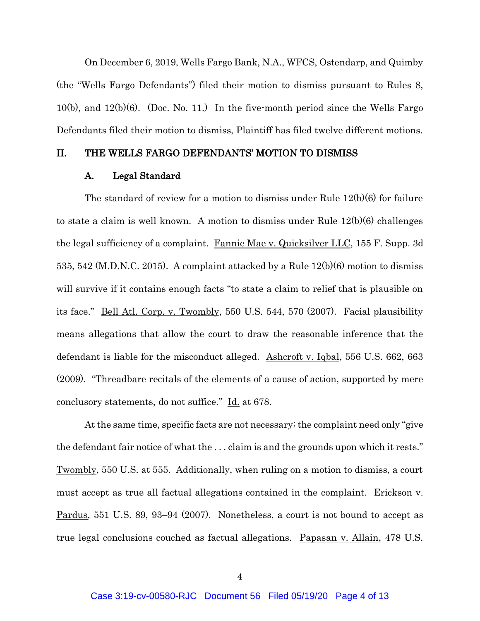On December 6, 2019, Wells Fargo Bank, N.A., WFCS, Ostendarp, and Quimby (the "Wells Fargo Defendants") filed their motion to dismiss pursuant to Rules 8, 10(b), and  $12(b)(6)$ . (Doc. No. 11.) In the five-month period since the Wells Fargo Defendants filed their motion to dismiss, Plaintiff has filed twelve different motions.

# II. THE WELLS FARGO DEFENDANTS' MOTION TO DISMISS

#### A. Legal Standard

The standard of review for a motion to dismiss under Rule 12(b)(6) for failure to state a claim is well known. A motion to dismiss under Rule 12(b)(6) challenges the legal sufficiency of a complaint. Fannie Mae v. Quicksilver LLC, 155 F. Supp. 3d 535, 542 (M.D.N.C. 2015). A complaint attacked by a Rule 12(b)(6) motion to dismiss will survive if it contains enough facts "to state a claim to relief that is plausible on its face." Bell Atl. Corp. v. Twombly, 550 U.S. 544, 570 (2007). Facial plausibility means allegations that allow the court to draw the reasonable inference that the defendant is liable for the misconduct alleged. Ashcroft v. Igbal, 556 U.S. 662, 663 (2009). "Threadbare recitals of the elements of a cause of action, supported by mere conclusory statements, do not suffice." Id. at 678.

At the same time, specific facts are not necessary; the complaint need only "give the defendant fair notice of what the . . . claim is and the grounds upon which it rests." Twombly, 550 U.S. at 555. Additionally, when ruling on a motion to dismiss, a court must accept as true all factual allegations contained in the complaint. Erickson v. Pardus, 551 U.S. 89, 93–94 (2007). Nonetheless, a court is not bound to accept as true legal conclusions couched as factual allegations. Papasan v. Allain, 478 U.S.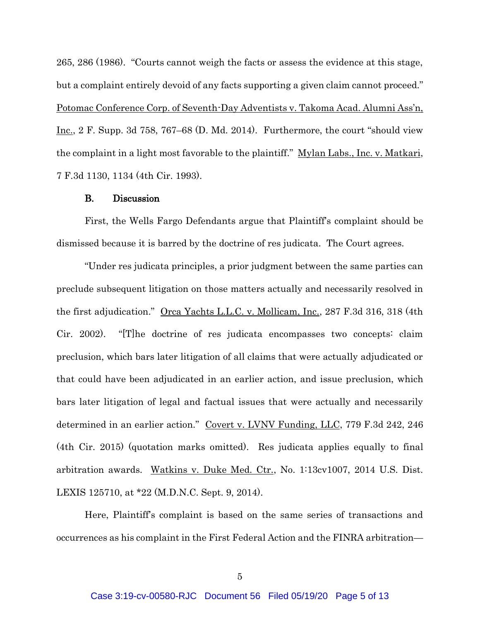265, 286 (1986). "Courts cannot weigh the facts or assess the evidence at this stage, but a complaint entirely devoid of any facts supporting a given claim cannot proceed." Potomac Conference Corp. of Seventh-Day Adventists v. Takoma Acad. Alumni Ass'n, Inc., 2 F. Supp. 3d 758, 767–68 (D. Md. 2014). Furthermore, the court "should view the complaint in a light most favorable to the plaintiff." Mylan Labs., Inc. v. Matkari, 7 F.3d 1130, 1134 (4th Cir. 1993).

#### B. Discussion

First, the Wells Fargo Defendants argue that Plaintiff's complaint should be dismissed because it is barred by the doctrine of res judicata. The Court agrees.

"Under res judicata principles, a prior judgment between the same parties can preclude subsequent litigation on those matters actually and necessarily resolved in the first adjudication." Orca Yachts L.L.C. v. Mollicam, Inc., 287 F.3d 316, 318 (4th Cir. 2002). "[T]he doctrine of res judicata encompasses two concepts: claim preclusion, which bars later litigation of all claims that were actually adjudicated or that could have been adjudicated in an earlier action, and issue preclusion, which bars later litigation of legal and factual issues that were actually and necessarily determined in an earlier action." Covert v. LVNV Funding, LLC, 779 F.3d 242, 246 (4th Cir. 2015) (quotation marks omitted). Res judicata applies equally to final arbitration awards. Watkins v. Duke Med. Ctr., No. 1:13cv1007, 2014 U.S. Dist. LEXIS 125710, at \*22 (M.D.N.C. Sept. 9, 2014).

Here, Plaintiff's complaint is based on the same series of transactions and occurrences as his complaint in the First Federal Action and the FINRA arbitration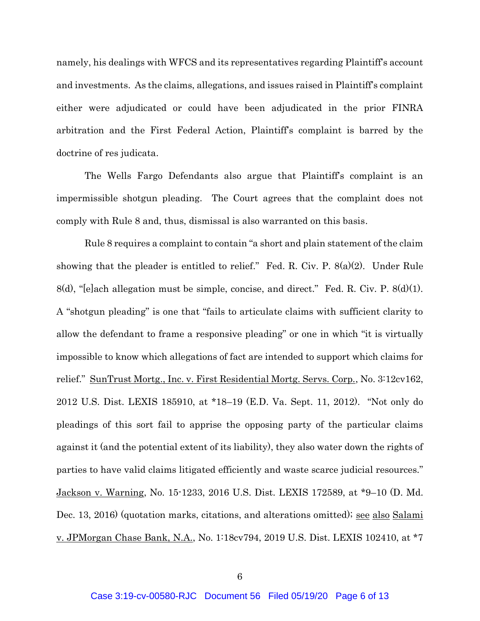namely, his dealings with WFCS and its representatives regarding Plaintiff's account and investments. As the claims, allegations, and issues raised in Plaintiff's complaint either were adjudicated or could have been adjudicated in the prior FINRA arbitration and the First Federal Action, Plaintiff's complaint is barred by the doctrine of res judicata.

The Wells Fargo Defendants also argue that Plaintiff's complaint is an impermissible shotgun pleading. The Court agrees that the complaint does not comply with Rule 8 and, thus, dismissal is also warranted on this basis.

Rule 8 requires a complaint to contain "a short and plain statement of the claim showing that the pleader is entitled to relief." Fed. R. Civ. P. 8(a)(2). Under Rule 8(d), "[e]ach allegation must be simple, concise, and direct." Fed. R. Civ. P. 8(d)(1). A "shotgun pleading" is one that "fails to articulate claims with sufficient clarity to allow the defendant to frame a responsive pleading" or one in which "it is virtually impossible to know which allegations of fact are intended to support which claims for relief." SunTrust Mortg., Inc. v. First Residential Mortg. Servs. Corp., No. 3:12cv162, 2012 U.S. Dist. LEXIS 185910, at \*18–19 (E.D. Va. Sept. 11, 2012). "Not only do pleadings of this sort fail to apprise the opposing party of the particular claims against it (and the potential extent of its liability), they also water down the rights of parties to have valid claims litigated efficiently and waste scarce judicial resources." Jackson v. Warning, No. 15-1233, 2016 U.S. Dist. LEXIS 172589, at \*9–10 (D. Md. Dec. 13, 2016) (quotation marks, citations, and alterations omitted); see also Salami v. JPMorgan Chase Bank, N.A., No. 1:18cv794, 2019 U.S. Dist. LEXIS 102410, at \*7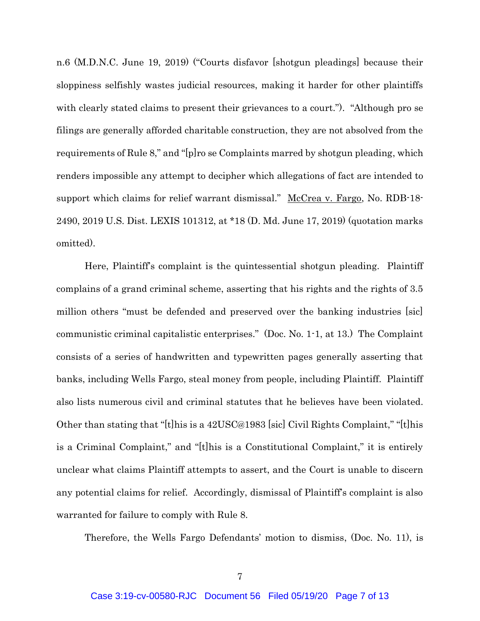n.6 (M.D.N.C. June 19, 2019) ("Courts disfavor [shotgun pleadings] because their sloppiness selfishly wastes judicial resources, making it harder for other plaintiffs with clearly stated claims to present their grievances to a court."). "Although pro se filings are generally afforded charitable construction, they are not absolved from the requirements of Rule 8," and "[p]ro se Complaints marred by shotgun pleading, which renders impossible any attempt to decipher which allegations of fact are intended to support which claims for relief warrant dismissal." McCrea v. Fargo, No. RDB-18-2490, 2019 U.S. Dist. LEXIS 101312, at \*18 (D. Md. June 17, 2019) (quotation marks omitted).

Here, Plaintiff's complaint is the quintessential shotgun pleading. Plaintiff complains of a grand criminal scheme, asserting that his rights and the rights of 3.5 million others "must be defended and preserved over the banking industries [sic] communistic criminal capitalistic enterprises." (Doc. No. 1-1, at 13.) The Complaint consists of a series of handwritten and typewritten pages generally asserting that banks, including Wells Fargo, steal money from people, including Plaintiff. Plaintiff also lists numerous civil and criminal statutes that he believes have been violated. Other than stating that "[t]his is a 42USC@1983 [sic] Civil Rights Complaint," "[t]his is a Criminal Complaint," and "[t]his is a Constitutional Complaint," it is entirely unclear what claims Plaintiff attempts to assert, and the Court is unable to discern any potential claims for relief. Accordingly, dismissal of Plaintiff's complaint is also warranted for failure to comply with Rule 8.

Therefore, the Wells Fargo Defendants' motion to dismiss, (Doc. No. 11), is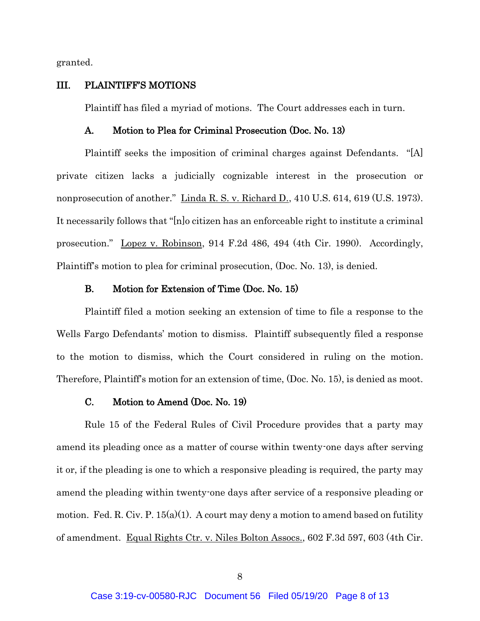granted.

#### III. PLAINTIFF'S MOTIONS

Plaintiff has filed a myriad of motions. The Court addresses each in turn.

#### A. Motion to Plea for Criminal Prosecution (Doc. No. 13)

Plaintiff seeks the imposition of criminal charges against Defendants. "[A] private citizen lacks a judicially cognizable interest in the prosecution or nonprosecution of another." Linda R. S. v. Richard D., 410 U.S. 614, 619 (U.S. 1973). It necessarily follows that "[n]o citizen has an enforceable right to institute a criminal prosecution." Lopez v. Robinson, 914 F.2d 486, 494 (4th Cir. 1990). Accordingly, Plaintiff's motion to plea for criminal prosecution, (Doc. No. 13), is denied.

### B. Motion for Extension of Time (Doc. No. 15)

Plaintiff filed a motion seeking an extension of time to file a response to the Wells Fargo Defendants' motion to dismiss. Plaintiff subsequently filed a response to the motion to dismiss, which the Court considered in ruling on the motion. Therefore, Plaintiff's motion for an extension of time, (Doc. No. 15), is denied as moot.

# C. Motion to Amend (Doc. No. 19)

Rule 15 of the Federal Rules of Civil Procedure provides that a party may amend its pleading once as a matter of course within twenty-one days after serving it or, if the pleading is one to which a responsive pleading is required, the party may amend the pleading within twenty-one days after service of a responsive pleading or motion. Fed. R. Civ. P.  $15(a)(1)$ . A court may deny a motion to amend based on futility of amendment. Equal Rights Ctr. v. Niles Bolton Assocs., 602 F.3d 597, 603 (4th Cir.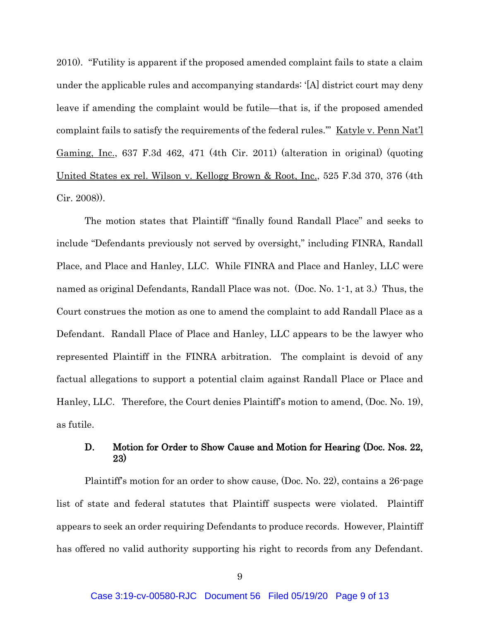2010). "Futility is apparent if the proposed amended complaint fails to state a claim under the applicable rules and accompanying standards: '[A] district court may deny leave if amending the complaint would be futile—that is, if the proposed amended complaint fails to satisfy the requirements of the federal rules.'" Katyle v. Penn Nat'l Gaming, Inc., 637 F.3d 462, 471 (4th Cir. 2011) (alteration in original) (quoting United States ex rel. Wilson v. Kellogg Brown & Root, Inc., 525 F.3d 370, 376 (4th Cir. 2008)).

The motion states that Plaintiff "finally found Randall Place" and seeks to include "Defendants previously not served by oversight," including FINRA, Randall Place, and Place and Hanley, LLC. While FINRA and Place and Hanley, LLC were named as original Defendants, Randall Place was not. (Doc. No. 1-1, at 3.) Thus, the Court construes the motion as one to amend the complaint to add Randall Place as a Defendant. Randall Place of Place and Hanley, LLC appears to be the lawyer who represented Plaintiff in the FINRA arbitration. The complaint is devoid of any factual allegations to support a potential claim against Randall Place or Place and Hanley, LLC. Therefore, the Court denies Plaintiff's motion to amend, (Doc. No. 19), as futile.

## D. Motion for Order to Show Cause and Motion for Hearing (Doc. Nos. 22, 23)

Plaintiff's motion for an order to show cause, (Doc. No. 22), contains a 26-page list of state and federal statutes that Plaintiff suspects were violated. Plaintiff appears to seek an order requiring Defendants to produce records. However, Plaintiff has offered no valid authority supporting his right to records from any Defendant.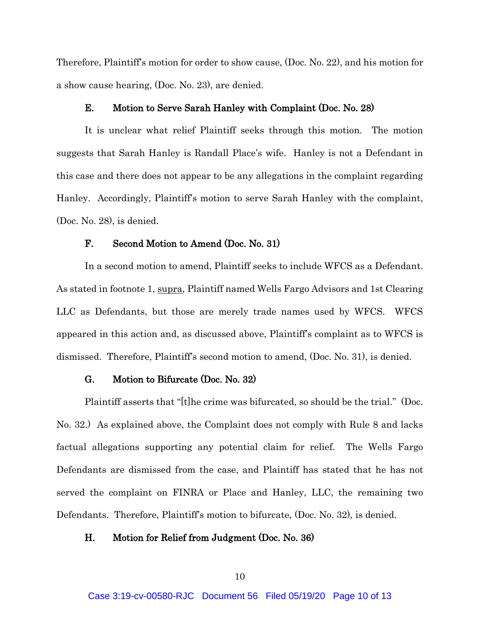Therefore, Plaintiff's motion for order to show cause, (Doc. No. 22), and his motion for a show cause hearing, (Doc. No. 23), are denied.

### E. Motion to Serve Sarah Hanley with Complaint (Doc. No. 28)

It is unclear what relief Plaintiff seeks through this motion. The motion suggests that Sarah Hanley is Randall Place's wife. Hanley is not a Defendant in this case and there does not appear to be any allegations in the complaint regarding Hanley. Accordingly, Plaintiff's motion to serve Sarah Hanley with the complaint, (Doc. No. 28), is denied.

## F. Second Motion to Amend (Doc. No. 31)

In a second motion to amend, Plaintiff seeks to include WFCS as a Defendant. As stated in footnote 1, supra, Plaintiff named Wells Fargo Advisors and 1st Clearing LLC as Defendants, but those are merely trade names used by WFCS. WFCS appeared in this action and, as discussed above, Plaintiff's complaint as to WFCS is dismissed. Therefore, Plaintiff's second motion to amend, (Doc. No. 31), is denied.

### G. Motion to Bifurcate (Doc. No. 32)

Plaintiff asserts that "[t]he crime was bifurcated, so should be the trial." (Doc. No. 32.) As explained above, the Complaint does not comply with Rule 8 and lacks factual allegations supporting any potential claim for relief. The Wells Fargo Defendants are dismissed from the case, and Plaintiff has stated that he has not served the complaint on FINRA or Place and Hanley, LLC, the remaining two Defendants. Therefore, Plaintiff's motion to bifurcate, (Doc. No. 32), is denied.

### H. Motion for Relief from Judgment (Doc. No. 36)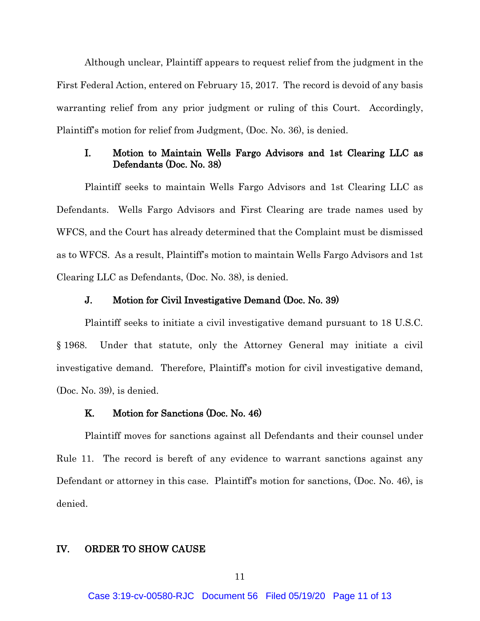Although unclear, Plaintiff appears to request relief from the judgment in the First Federal Action, entered on February 15, 2017. The record is devoid of any basis warranting relief from any prior judgment or ruling of this Court. Accordingly, Plaintiff's motion for relief from Judgment, (Doc. No. 36), is denied.

# I. Motion to Maintain Wells Fargo Advisors and 1st Clearing LLC as Defendants (Doc. No. 38)

Plaintiff seeks to maintain Wells Fargo Advisors and 1st Clearing LLC as Defendants. Wells Fargo Advisors and First Clearing are trade names used by WFCS, and the Court has already determined that the Complaint must be dismissed as to WFCS. As a result, Plaintiff's motion to maintain Wells Fargo Advisors and 1st Clearing LLC as Defendants, (Doc. No. 38), is denied.

### J. Motion for Civil Investigative Demand (Doc. No. 39)

Plaintiff seeks to initiate a civil investigative demand pursuant to 18 U.S.C. § 1968. Under that statute, only the Attorney General may initiate a civil investigative demand. Therefore, Plaintiff's motion for civil investigative demand, (Doc. No. 39), is denied.

#### K. Motion for Sanctions (Doc. No. 46)

Plaintiff moves for sanctions against all Defendants and their counsel under Rule 11. The record is bereft of any evidence to warrant sanctions against any Defendant or attorney in this case. Plaintiff's motion for sanctions, (Doc. No. 46), is denied.

#### IV. ORDER TO SHOW CAUSE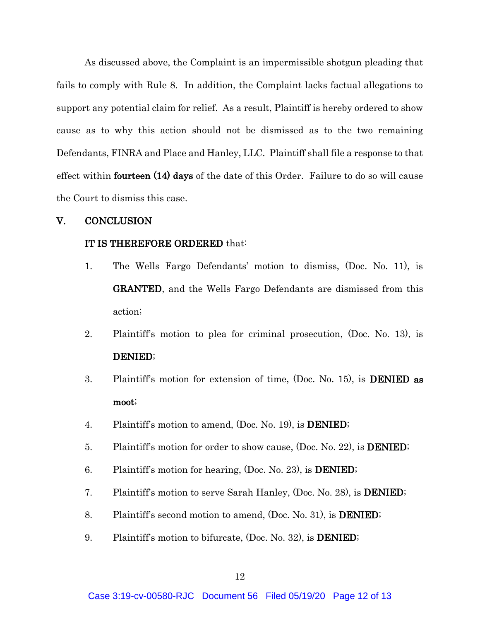As discussed above, the Complaint is an impermissible shotgun pleading that fails to comply with Rule 8. In addition, the Complaint lacks factual allegations to support any potential claim for relief. As a result, Plaintiff is hereby ordered to show cause as to why this action should not be dismissed as to the two remaining Defendants, FINRA and Place and Hanley, LLC. Plaintiff shall file a response to that effect within **fourteen** (14) days of the date of this Order. Failure to do so will cause the Court to dismiss this case.

## V. CONCLUSION

### IT IS THEREFORE ORDERED that:

- 1. The Wells Fargo Defendants' motion to dismiss, (Doc. No. 11), is GRANTED, and the Wells Fargo Defendants are dismissed from this action;
- 2. Plaintiff's motion to plea for criminal prosecution, (Doc. No. 13), is DENIED;
- 3. Plaintiff's motion for extension of time, (Doc. No. 15), is DENIED as moot;
- 4. Plaintiff's motion to amend, (Doc. No. 19), is DENIED;
- 5. Plaintiff's motion for order to show cause, (Doc. No. 22), is **DENIED**;
- 6. Plaintiff's motion for hearing, (Doc. No. 23), is DENIED;
- 7. Plaintiff's motion to serve Sarah Hanley, (Doc. No. 28), is DENIED;
- 8. Plaintiff's second motion to amend, (Doc. No. 31), is DENIED;
- 9. Plaintiff's motion to bifurcate, (Doc. No. 32), is **DENIED**;

Case 3:19-cv-00580-RJC Document 56 Filed 05/19/20 Page 12 of 13